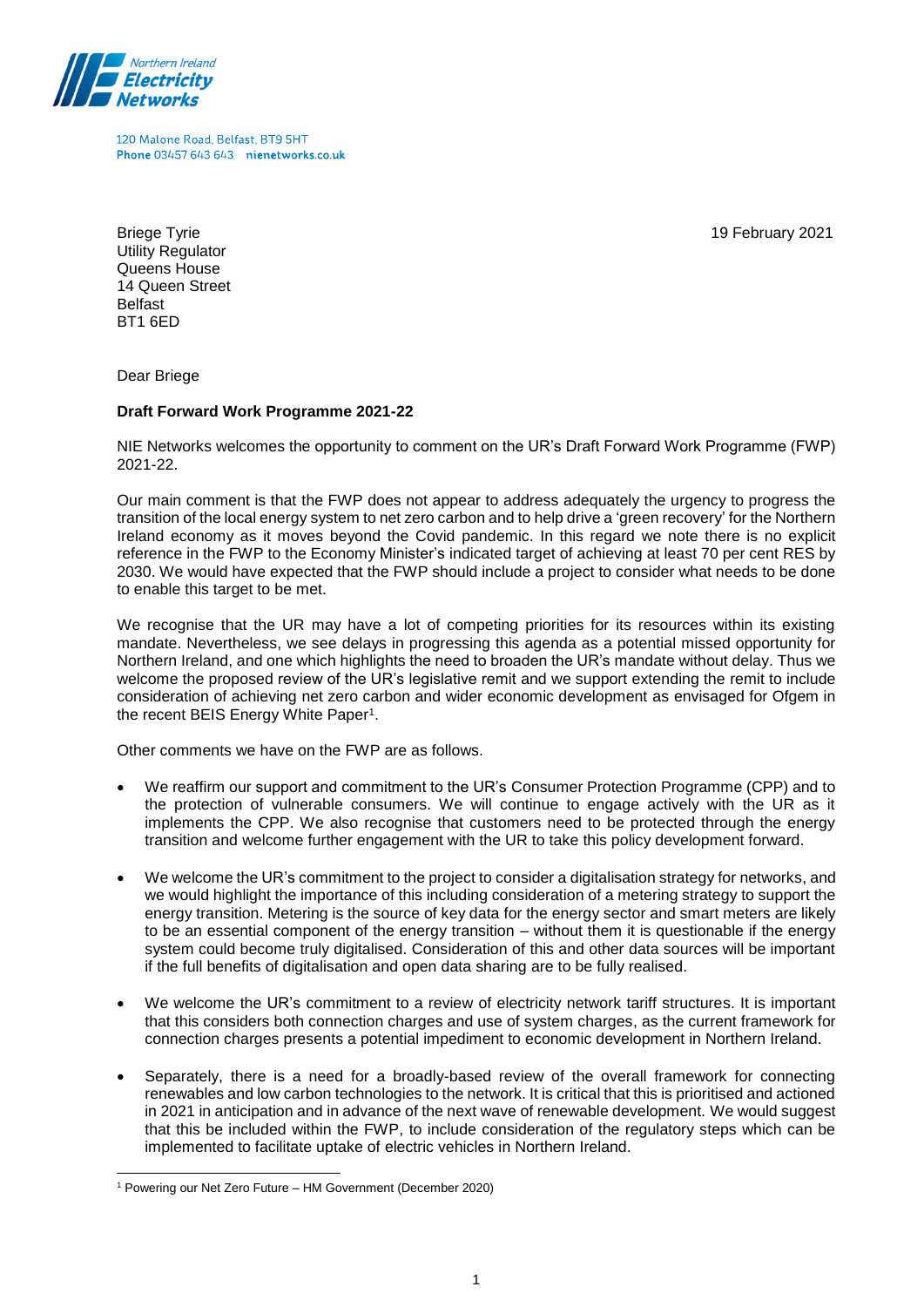

120 Malone Road, Belfast, BT9 5HT Phone 03457 643 643 nienetworks co.uk

19 February 2021

Briege Tyrie Utility Regulator Queens House 14 Queen Street Belfast BT1 6ED

Dear Briege

## **Draft Forward Work Programme 2021-22**

NIE Networks welcomes the opportunity to comment on the UR's Draft Forward Work Programme (FWP) 2021-22.

Our main comment is that the FWP does not appear to address adequately the urgency to progress the transition of the local energy system to net zero carbon and to help drive a 'green recovery' for the Northern Ireland economy as it moves beyond the Covid pandemic. In this regard we note there is no explicit reference in the FWP to the Economy Minister's indicated target of achieving at least 70 per cent RES by 2030. We would have expected that the FWP should include a project to consider what needs to be done to enable this target to be met.

We recognise that the UR may have a lot of competing priorities for its resources within its existing mandate. Nevertheless, we see delays in progressing this agenda as a potential missed opportunity for Northern Ireland, and one which highlights the need to broaden the UR's mandate without delay. Thus we welcome the proposed review of the UR's legislative remit and we support extending the remit to include consideration of achieving net zero carbon and wider economic development as envisaged for Ofgem in the recent BEIS Energy White Paper<sup>1</sup>.

Other comments we have on the FWP are as follows.

- We reaffirm our support and commitment to the UR's Consumer Protection Programme (CPP) and to the protection of vulnerable consumers. We will continue to engage actively with the UR as it implements the CPP. We also recognise that customers need to be protected through the energy transition and welcome further engagement with the UR to take this policy development forward.
- We welcome the UR's commitment to the project to consider a digitalisation strategy for networks, and we would highlight the importance of this including consideration of a metering strategy to support the energy transition. Metering is the source of key data for the energy sector and smart meters are likely to be an essential component of the energy transition – without them it is questionable if the energy system could become truly digitalised. Consideration of this and other data sources will be important if the full benefits of digitalisation and open data sharing are to be fully realised.
- We welcome the UR's commitment to a review of electricity network tariff structures. It is important that this considers both connection charges and use of system charges, as the current framework for connection charges presents a potential impediment to economic development in Northern Ireland.
- Separately, there is a need for a broadly-based review of the overall framework for connecting renewables and low carbon technologies to the network. It is critical that this is prioritised and actioned in 2021 in anticipation and in advance of the next wave of renewable development. We would suggest that this be included within the FWP, to include consideration of the regulatory steps which can be implemented to facilitate uptake of electric vehicles in Northern Ireland.

<sup>-</sup><sup>1</sup> Powering our Net Zero Future – HM Government (December 2020)